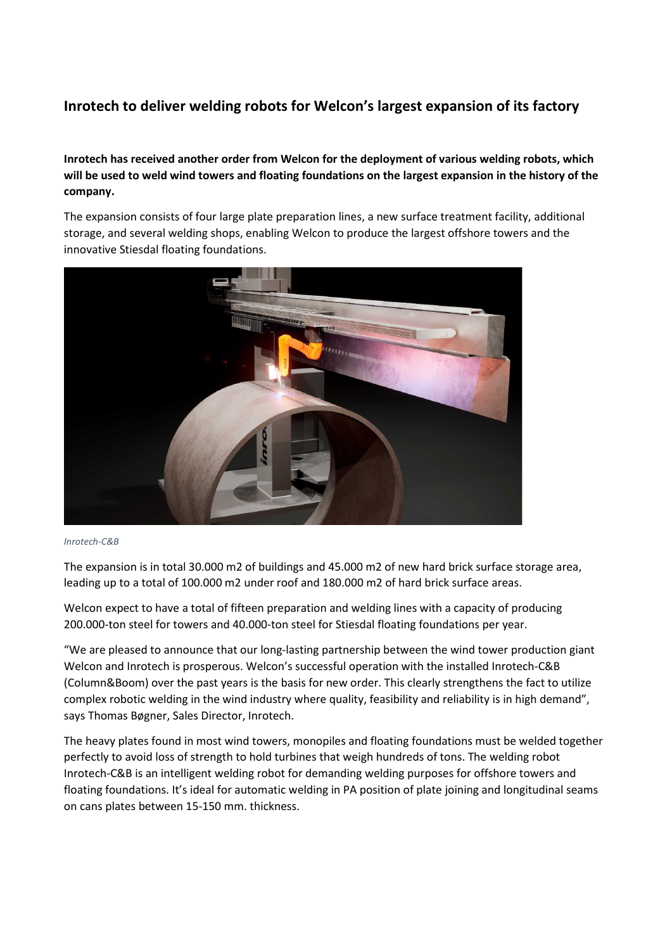## **Inrotech to deliver welding robots for Welcon's largest expansion of its factory**

## **Inrotech has received another order from Welcon for the deployment of various welding robots, which will be used to weld wind towers and floating foundations on the largest expansion in the history of the company.**

The expansion consists of four large plate preparation lines, a new surface treatment facility, additional storage, and several welding shops, enabling Welcon to produce the largest offshore towers and the innovative Stiesdal floating foundations.



## *Inrotech-C&B*

The expansion is in total 30.000 m2 of buildings and 45.000 m2 of new hard brick surface storage area, leading up to a total of 100.000 m2 under roof and 180.000 m2 of hard brick surface areas.

Welcon expect to have a total of fifteen preparation and welding lines with a capacity of producing 200.000-ton steel for towers and 40.000-ton steel for Stiesdal floating foundations per year.

"We are pleased to announce that our long-lasting partnership between the wind tower production giant Welcon and Inrotech is prosperous. Welcon's successful operation with the installed Inrotech-C&B (Column&Boom) over the past years is the basis for new order. This clearly strengthens the fact to utilize complex robotic welding in the wind industry where quality, feasibility and reliability is in high demand", says Thomas Bøgner, Sales Director, Inrotech.

The heavy plates found in most wind towers, monopiles and floating foundations must be welded together perfectly to avoid loss of strength to hold turbines that weigh hundreds of tons. The welding robot Inrotech-C&B is an intelligent welding robot for demanding welding purposes for offshore towers and floating foundations. It's ideal for automatic welding in PA position of plate joining and longitudinal seams on cans plates between 15-150 mm. thickness.